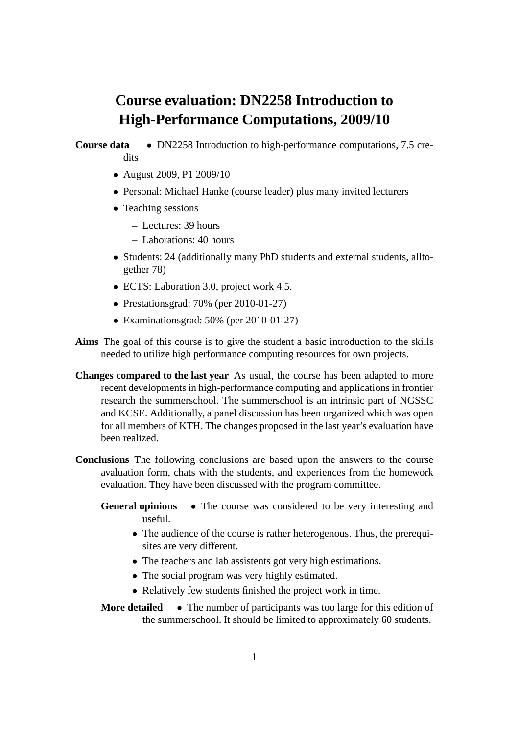## **Course evaluation: DN2258 Introduction to High-Performance Computations, 2009/10**

## **Course data** • DN2258 Introduction to high-performance computations, 7.5 credits

- August 2009, P1 2009/10
- Personal: Michael Hanke (course leader) plus many invited lecturers
- Teaching sessions
	- **–** Lectures: 39 hours
	- **–** Laborations: 40 hours
- Students: 24 (additionally many PhD students and external students, alltogether 78)
- ECTS: Laboration 3.0, project work 4.5.
- Prestationsgrad: 70% (per 2010-01-27)
- Examinationsgrad: 50% (per 2010-01-27)
- **Aims** The goal of this course is to give the student a basic introduction to the skills needed to utilize high performance computing resources for own projects.
- **Changes compared to the last year** As usual, the course has been adapted to more recent developments in high-performance computing and applications in frontier research the summerschool. The summerschool is an intrinsic part of NGSSC and KCSE. Additionally, a panel discussion has been organized which was open for all members of KTH. The changes proposed in the last year's evaluation have been realized.
- **Conclusions** The following conclusions are based upon the answers to the course avaluation form, chats with the students, and experiences from the homework evaluation. They have been discussed with the program committee.
	- **General opinions** The course was considered to be very interesting and useful.
		- The audience of the course is rather heterogenous. Thus, the prerequisites are very different.
		- The teachers and lab assistents got very high estimations.
		- The social program was very highly estimated.
		- Relatively few students finished the project work in time.

**More detailed** • The number of participants was too large for this edition of the summerschool. It should be limited to approximately 60 students.